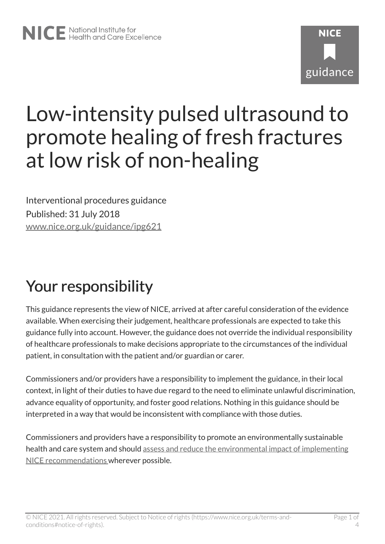# **NICF** guidance

# Low-intensity pulsed ultrasound to promote healing of fresh fractures at low risk of non-healing

Interventional procedures guidance Published: 31 July 2018 [www.nice.org.uk/guidance/ipg621](https://www.nice.org.uk/guidance/ipg621) 

# Your responsibility

This guidance represents the view of NICE, arrived at after careful consideration of the evidence available. When exercising their judgement, healthcare professionals are expected to take this guidance fully into account. However, the guidance does not override the individual responsibility of healthcare professionals to make decisions appropriate to the circumstances of the individual patient, in consultation with the patient and/or guardian or carer.

Commissioners and/or providers have a responsibility to implement the guidance, in their local context, in light of their duties to have due regard to the need to eliminate unlawful discrimination, advance equality of opportunity, and foster good relations. Nothing in this guidance should be interpreted in a way that would be inconsistent with compliance with those duties.

Commissioners and providers have a responsibility to promote an environmentally sustainable health and care system and should [assess and reduce the environmental impact of implementing](https://www.nice.org.uk/about/who-we-are/sustainability)  [NICE recommendations w](https://www.nice.org.uk/about/who-we-are/sustainability)herever possible.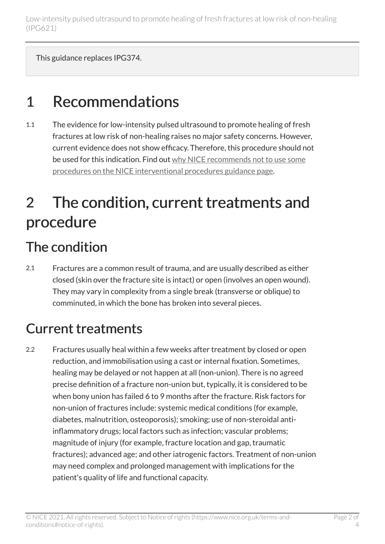This guidance replaces IPG374.

#### 1 Recommendations

1.1 The evidence for low-intensity pulsed ultrasound to promote healing of fresh fractures at low risk of non-healing raises no major safety concerns. However, current evidence does not show efficacy. Therefore, this procedure should not be used for this indication. Find out why NICE recommends not to use some [procedures on the NICE interventional procedures guidance page](https://www.nice.org.uk/about/what-we-do/our-programmes/nice-guidance/interventional-procedures-guidance/recommendations).

## 2 The condition, current treatments and procedure

#### The condition

2.1 Fractures are a common result of trauma, and are usually described as either closed (skin over the fracture site is intact) or open (involves an open wound). They may vary in complexity from a single break (transverse or oblique) to comminuted, in which the bone has broken into several pieces.

#### Current treatments

2.2 Fractures usually heal within a few weeks after treatment by closed or open reduction, and immobilisation using a cast or internal fixation. Sometimes, healing may be delayed or not happen at all (non-union). There is no agreed precise definition of a fracture non-union but, typically, it is considered to be when bony union has failed 6 to 9 months after the fracture. Risk factors for non-union of fractures include: systemic medical conditions (for example, diabetes, malnutrition, osteoporosis); smoking; use of non-steroidal antiinflammatory drugs; local factors such as infection; vascular problems; magnitude of injury (for example, fracture location and gap, traumatic fractures); advanced age; and other iatrogenic factors. Treatment of non-union may need complex and prolonged management with implications for the patient's quality of life and functional capacity.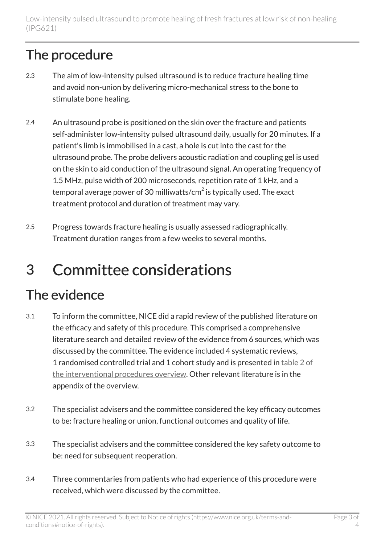#### The procedure

- 2.3 The aim of low-intensity pulsed ultrasound is to reduce fracture healing time and avoid non-union by delivering micro-mechanical stress to the bone to stimulate bone healing.
- 2.4 An ultrasound probe is positioned on the skin over the fracture and patients self-administer low-intensity pulsed ultrasound daily, usually for 20 minutes. If a patient's limb is immobilised in a cast, a hole is cut into the cast for the ultrasound probe. The probe delivers acoustic radiation and coupling gel is used on the skin to aid conduction of the ultrasound signal. An operating frequency of 1.5 MHz, pulse width of 200 microseconds, repetition rate of 1 kHz, and a temporal average power of 30 milliwatts/cm $^2$  is typically used. The exact treatment protocol and duration of treatment may vary.
- 2.5 Progress towards fracture healing is usually assessed radiographically. Treatment duration ranges from a few weeks to several months.

# 3 Committee considerations

#### The evidence

- 3.1 To inform the committee, NICE did a rapid review of the published literature on the efficacy and safety of this procedure. This comprised a comprehensive literature search and detailed review of the evidence from 6 sources, which was discussed by the committee. The evidence included 4 systematic reviews, 1 randomised controlled trial and 1 cohort study and is presented in [table](http://www.nice.org.uk/Guidance/IPG621/evidence) 2 of [the interventional procedures overview](http://www.nice.org.uk/Guidance/IPG621/evidence). Other relevant literature is in the appendix of the overview.
- 3.2 The specialist advisers and the committee considered the key efficacy outcomes to be: fracture healing or union, functional outcomes and quality of life.
- 3.3 The specialist advisers and the committee considered the key safety outcome to be: need for subsequent reoperation.
- 3.4 Three commentaries from patients who had experience of this procedure were received, which were discussed by the committee.